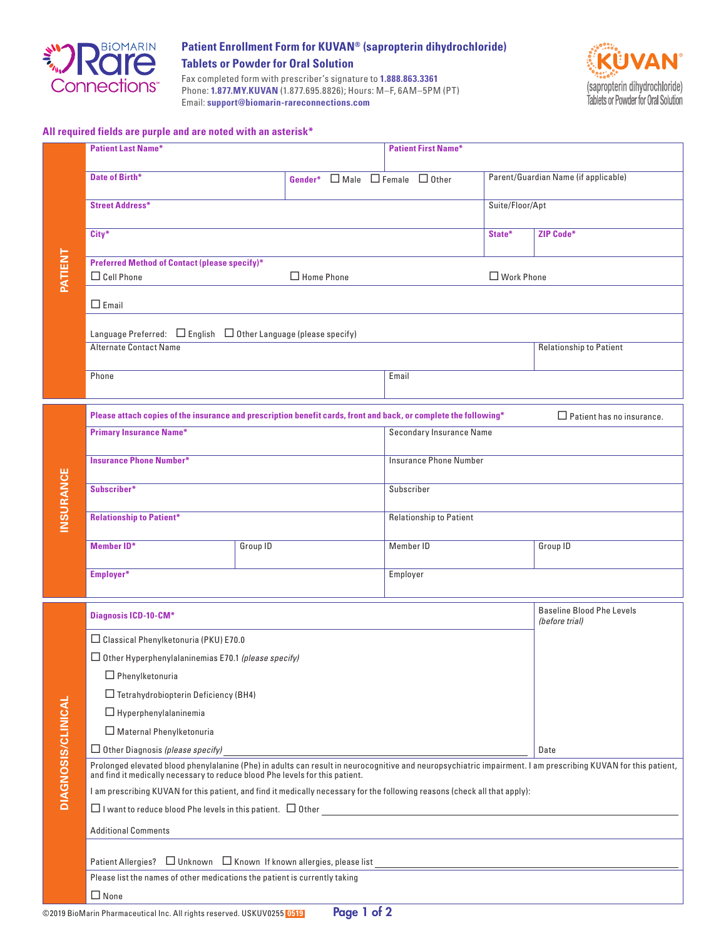

## **Patient Enrollment Form for KUVAN® (sapropterin dihydrochloride) Tablets or Powder for Oral Solution**

Fax completed form with prescriber's signature to **1.888.863.3361** Phone: **1.877.MY.KUVAN** (1.877.695.8826); Hours: M–F, 6AM–5PM (PT) Email: **support@biomarin-rareconnections.com**



## **All required fields are purple and are noted with an asterisk\***

|                           | <b>Patient Last Name*</b>                                                                                                                                                                                  |          | <b>Patient First Name*</b>      |                                |                                                    |  |  |  |
|---------------------------|------------------------------------------------------------------------------------------------------------------------------------------------------------------------------------------------------------|----------|---------------------------------|--------------------------------|----------------------------------------------------|--|--|--|
| PATIENT                   | Date of Birth*                                                                                                                                                                                             |          | Gender* □ Male □ Female □ Other |                                | Parent/Guardian Name (if applicable)               |  |  |  |
|                           | <b>Street Address*</b>                                                                                                                                                                                     |          | Suite/Floor/Apt                 |                                |                                                    |  |  |  |
|                           | City*                                                                                                                                                                                                      |          |                                 | State*                         | ZIP Code*                                          |  |  |  |
|                           | <b>Preferred Method of Contact (please specify)*</b><br>$\Box$ Cell Phone<br>$\Box$ Home Phone                                                                                                             |          |                                 | $\Box$ Work Phone              |                                                    |  |  |  |
|                           | $\Box$ Email                                                                                                                                                                                               |          |                                 |                                |                                                    |  |  |  |
|                           | Language Preferred: $\Box$ English $\Box$ Other Language (please specify)                                                                                                                                  |          |                                 |                                |                                                    |  |  |  |
|                           | <b>Alternate Contact Name</b>                                                                                                                                                                              |          |                                 |                                | Relationship to Patient                            |  |  |  |
|                           | Phone                                                                                                                                                                                                      | Email    |                                 |                                |                                                    |  |  |  |
|                           | Please attach copies of the insurance and prescription benefit cards, front and back, or complete the following*<br>$\Box$ Patient has no insurance.                                                       |          |                                 |                                |                                                    |  |  |  |
|                           | <b>Primary Insurance Name*</b>                                                                                                                                                                             |          |                                 | Secondary Insurance Name       |                                                    |  |  |  |
|                           | <b>Insurance Phone Number*</b>                                                                                                                                                                             |          |                                 | Insurance Phone Number         |                                                    |  |  |  |
| INSURANCE                 | Subscriber*                                                                                                                                                                                                |          | Subscriber                      |                                |                                                    |  |  |  |
|                           | <b>Relationship to Patient*</b>                                                                                                                                                                            |          |                                 | <b>Relationship to Patient</b> |                                                    |  |  |  |
|                           | <b>Member ID*</b>                                                                                                                                                                                          | Group ID | Member ID                       |                                | Group ID                                           |  |  |  |
|                           | Employer*                                                                                                                                                                                                  |          | Employer                        |                                |                                                    |  |  |  |
|                           | <b>Diagnosis ICD-10-CM*</b>                                                                                                                                                                                |          |                                 |                                | <b>Baseline Blood Phe Levels</b><br>(before trial) |  |  |  |
|                           | □ Classical Phenylketonuria (PKU) E70.0                                                                                                                                                                    |          |                                 |                                |                                                    |  |  |  |
|                           | $\Box$ Other Hyperphenylalaninemias E70.1 (please specify)                                                                                                                                                 |          |                                 |                                |                                                    |  |  |  |
|                           | $\Box$ Phenylketonuria                                                                                                                                                                                     |          |                                 |                                |                                                    |  |  |  |
|                           | $\Box$ Tetrahydrobiopterin Deficiency (BH4)                                                                                                                                                                |          |                                 |                                |                                                    |  |  |  |
|                           | $\Box$ Hyperphenylalaninemia                                                                                                                                                                               |          |                                 |                                |                                                    |  |  |  |
|                           | Maternal Phenylketonuria                                                                                                                                                                                   |          |                                 |                                | Date                                               |  |  |  |
| <b>DIAGNOSIS/CLINICAL</b> | $\Box$ Other Diagnosis (please specify)<br>Prolonged elevated blood phenylalanine (Phe) in adults can result in neurocognitive and neuropsychiatric impairment. I am prescribing KUVAN for this patient,   |          |                                 |                                |                                                    |  |  |  |
|                           | and find it medically necessary to reduce blood Phe levels for this patient.<br>I am prescribing KUVAN for this patient, and find it medically necessary for the following reasons (check all that apply): |          |                                 |                                |                                                    |  |  |  |
|                           |                                                                                                                                                                                                            |          |                                 |                                |                                                    |  |  |  |
|                           | <b>Additional Comments</b>                                                                                                                                                                                 |          |                                 |                                |                                                    |  |  |  |
|                           |                                                                                                                                                                                                            |          |                                 |                                |                                                    |  |  |  |
|                           |                                                                                                                                                                                                            |          |                                 |                                |                                                    |  |  |  |
|                           | Please list the names of other medications the patient is currently taking<br>$\Box$ None                                                                                                                  |          |                                 |                                |                                                    |  |  |  |
|                           | Page 1 of 2<br>©2019 BioMarin Pharmaceutical Inc. All rights reserved. USKUV0255 0519                                                                                                                      |          |                                 |                                |                                                    |  |  |  |